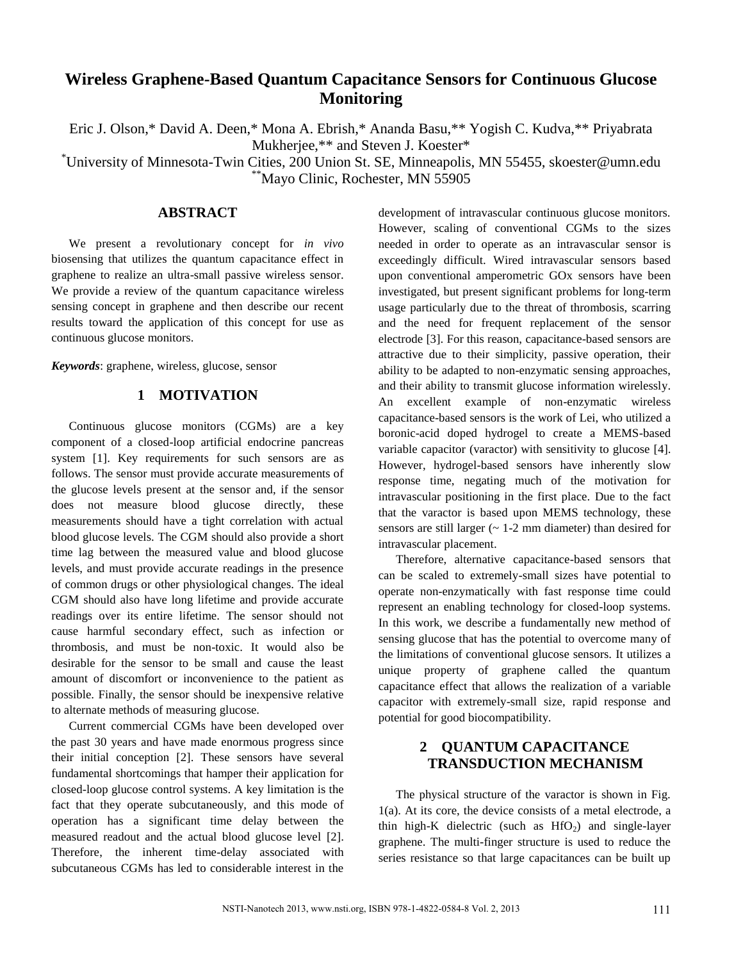# **Wireless Graphene-Based Quantum Capacitance Sensors for Continuous Glucose Monitoring**

Eric J. Olson,\* David A. Deen,\* Mona A. Ebrish,\* Ananda Basu,\*\* Yogish C. Kudva,\*\* Priyabrata Mukherjee,\*\* and Steven J. Koester\*

\*University of Minnesota-Twin Cities, 200 Union St. SE, Minneapolis, MN 55455, skoester@umn.edu \*\*Mayo Clinic, Rochester, MN 55905

### **ABSTRACT**

We present a revolutionary concept for *in vivo* biosensing that utilizes the quantum capacitance effect in graphene to realize an ultra-small passive wireless sensor. We provide a review of the quantum capacitance wireless sensing concept in graphene and then describe our recent results toward the application of this concept for use as continuous glucose monitors.

*Keywords*: graphene, wireless, glucose, sensor

### **1 MOTIVATION**

Continuous glucose monitors (CGMs) are a key component of a closed-loop artificial endocrine pancreas system [1]. Key requirements for such sensors are as follows. The sensor must provide accurate measurements of the glucose levels present at the sensor and, if the sensor does not measure blood glucose directly, these measurements should have a tight correlation with actual blood glucose levels. The CGM should also provide a short time lag between the measured value and blood glucose levels, and must provide accurate readings in the presence of common drugs or other physiological changes. The ideal CGM should also have long lifetime and provide accurate readings over its entire lifetime. The sensor should not cause harmful secondary effect, such as infection or thrombosis, and must be non-toxic. It would also be desirable for the sensor to be small and cause the least amount of discomfort or inconvenience to the patient as possible. Finally, the sensor should be inexpensive relative to alternate methods of measuring glucose.

Current commercial CGMs have been developed over the past 30 years and have made enormous progress since their initial conception [2]. These sensors have several fundamental shortcomings that hamper their application for closed-loop glucose control systems. A key limitation is the fact that they operate subcutaneously, and this mode of operation has a significant time delay between the measured readout and the actual blood glucose level [2]. Therefore, the inherent time-delay associated with subcutaneous CGMs has led to considerable interest in the development of intravascular continuous glucose monitors. However, scaling of conventional CGMs to the sizes needed in order to operate as an intravascular sensor is exceedingly difficult. Wired intravascular sensors based upon conventional amperometric GOx sensors have been investigated, but present significant problems for long-term usage particularly due to the threat of thrombosis, scarring and the need for frequent replacement of the sensor electrode [3]. For this reason, capacitance-based sensors are attractive due to their simplicity, passive operation, their ability to be adapted to non-enzymatic sensing approaches, and their ability to transmit glucose information wirelessly. An excellent example of non-enzymatic wireless capacitance-based sensors is the work of Lei, who utilized a boronic-acid doped hydrogel to create a MEMS-based variable capacitor (varactor) with sensitivity to glucose [4]. However, hydrogel-based sensors have inherently slow response time, negating much of the motivation for intravascular positioning in the first place. Due to the fact that the varactor is based upon MEMS technology, these sensors are still larger  $($   $\sim$  1-2 mm diameter) than desired for intravascular placement.

Therefore, alternative capacitance-based sensors that can be scaled to extremely-small sizes have potential to operate non-enzymatically with fast response time could represent an enabling technology for closed-loop systems. In this work, we describe a fundamentally new method of sensing glucose that has the potential to overcome many of the limitations of conventional glucose sensors. It utilizes a unique property of graphene called the quantum capacitance effect that allows the realization of a variable capacitor with extremely-small size, rapid response and potential for good biocompatibility.

## **2 QUANTUM CAPACITANCE TRANSDUCTION MECHANISM**

The physical structure of the varactor is shown in Fig. 1(a). At its core, the device consists of a metal electrode, a thin high-K dielectric (such as  $HfO<sub>2</sub>$ ) and single-layer graphene. The multi-finger structure is used to reduce the series resistance so that large capacitances can be built up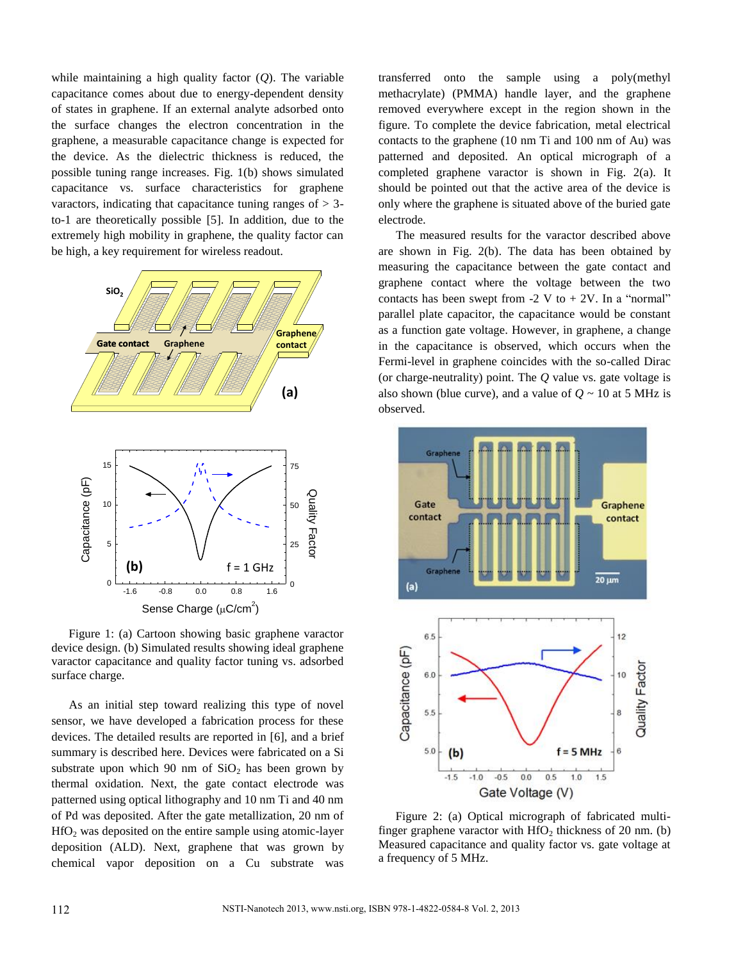while maintaining a high quality factor (*Q*). The variable capacitance comes about due to energy-dependent density of states in graphene. If an external analyte adsorbed onto the surface changes the electron concentration in the graphene, a measurable capacitance change is expected for the device. As the dielectric thickness is reduced, the possible tuning range increases. Fig. 1(b) shows simulated capacitance vs. surface characteristics for graphene varactors, indicating that capacitance tuning ranges of  $> 3$ to-1 are theoretically possible [5]. In addition, due to the extremely high mobility in graphene, the quality factor can be high, a key requirement for wireless readout.





**(b)**  $f = 1 \text{ GHz}$ 

ىيىتىنىغا 0

-1.6 -0.8 0.0 0.8 1.6

0

As an initial step toward realizing this type of novel sensor, we have developed a fabrication process for these devices. The detailed results are reported in [6], and a brief summary is described here. Devices were fabricated on a Si substrate upon which 90 nm of  $SiO<sub>2</sub>$  has been grown by thermal oxidation. Next, the gate contact electrode was patterned using optical lithography and 10 nm Ti and 40 nm of Pd was deposited. After the gate metallization, 20 nm of  $HfO<sub>2</sub>$  was deposited on the entire sample using atomic-layer deposition (ALD). Next, graphene that was grown by chemical vapor deposition on a Cu substrate was

transferred onto the sample using a poly(methyl methacrylate) (PMMA) handle layer, and the graphene removed everywhere except in the region shown in the figure. To complete the device fabrication, metal electrical contacts to the graphene (10 nm Ti and 100 nm of Au) was patterned and deposited. An optical micrograph of a completed graphene varactor is shown in Fig. 2(a). It should be pointed out that the active area of the device is only where the graphene is situated above of the buried gate electrode.

The measured results for the varactor described above are shown in Fig. 2(b). The data has been obtained by measuring the capacitance between the gate contact and graphene contact where the voltage between the two contacts has been swept from  $-2$  V to  $+ 2V$ . In a "normal" parallel plate capacitor, the capacitance would be constant as a function gate voltage. However, in graphene, a change in the capacitance is observed, which occurs when the Fermi-level in graphene coincides with the so-called Dirac (or charge-neutrality) point. The *Q* value vs. gate voltage is also shown (blue curve), and a value of  $Q \sim 10$  at 5 MHz is observed.



Figure 2: (a) Optical micrograph of fabricated multifinger graphene varactor with  $HfO<sub>2</sub>$  thickness of 20 nm. (b) Measured capacitance and quality factor vs. gate voltage at a frequency of 5 MHz.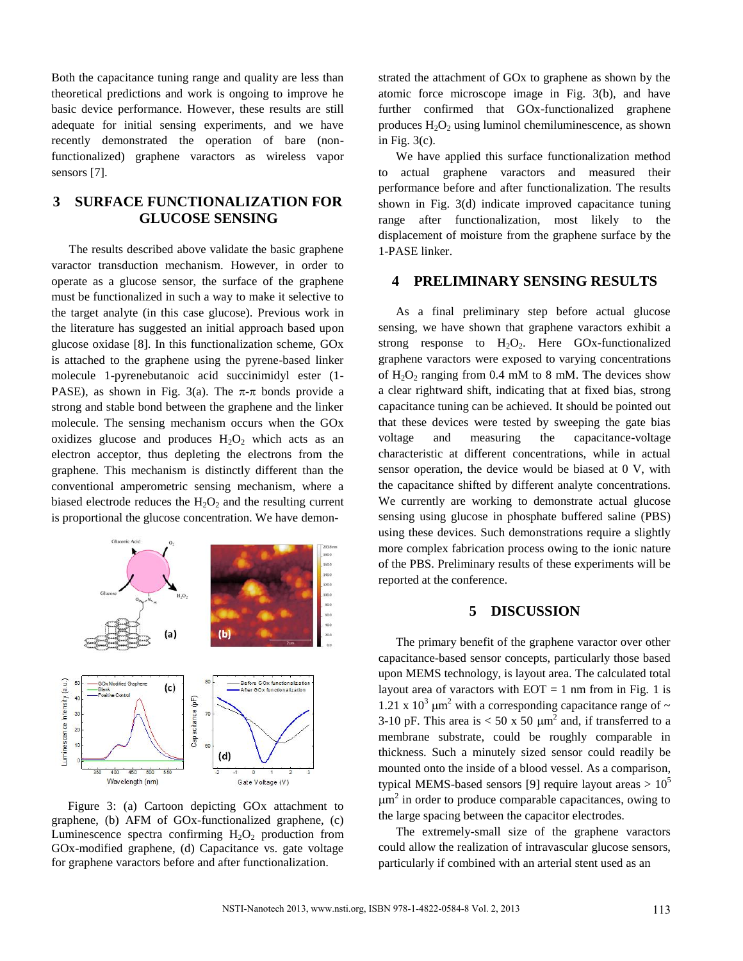Both the capacitance tuning range and quality are less than theoretical predictions and work is ongoing to improve he basic device performance. However, these results are still adequate for initial sensing experiments, and we have recently demonstrated the operation of bare (nonfunctionalized) graphene varactors as wireless vapor sensors [7].

## **3 SURFACE FUNCTIONALIZATION FOR GLUCOSE SENSING**

The results described above validate the basic graphene varactor transduction mechanism. However, in order to operate as a glucose sensor, the surface of the graphene must be functionalized in such a way to make it selective to the target analyte (in this case glucose). Previous work in the literature has suggested an initial approach based upon glucose oxidase [8]. In this functionalization scheme, GOx is attached to the graphene using the pyrene-based linker molecule 1-pyrenebutanoic acid succinimidyl ester (1- PASE), as shown in Fig. 3(a). The  $\pi$ - $\pi$  bonds provide a strong and stable bond between the graphene and the linker molecule. The sensing mechanism occurs when the GOx oxidizes glucose and produces  $H_2O_2$  which acts as an electron acceptor, thus depleting the electrons from the graphene. This mechanism is distinctly different than the conventional amperometric sensing mechanism, where a biased electrode reduces the  $H_2O_2$  and the resulting current is proportional the glucose concentration. We have demon-



Figure 3: (a) Cartoon depicting GOx attachment to graphene, (b) AFM of GOx-functionalized graphene, (c) Luminescence spectra confirming  $H_2O_2$  production from GOx-modified graphene, (d) Capacitance vs. gate voltage for graphene varactors before and after functionalization.

strated the attachment of GOx to graphene as shown by the atomic force microscope image in Fig. 3(b), and have further confirmed that GOx-functionalized graphene produces  $H_2O_2$  using luminol chemiluminescence, as shown in Fig.  $3(c)$ .

We have applied this surface functionalization method to actual graphene varactors and measured their performance before and after functionalization. The results shown in Fig. 3(d) indicate improved capacitance tuning range after functionalization, most likely to the displacement of moisture from the graphene surface by the 1-PASE linker.

### **4 PRELIMINARY SENSING RESULTS**

As a final preliminary step before actual glucose sensing, we have shown that graphene varactors exhibit a strong response to  $H_2O_2$ . Here GOx-functionalized graphene varactors were exposed to varying concentrations of  $H_2O_2$  ranging from 0.4 mM to 8 mM. The devices show a clear rightward shift, indicating that at fixed bias, strong capacitance tuning can be achieved. It should be pointed out that these devices were tested by sweeping the gate bias voltage and measuring the capacitance-voltage characteristic at different concentrations, while in actual sensor operation, the device would be biased at 0 V, with the capacitance shifted by different analyte concentrations. We currently are working to demonstrate actual glucose sensing using glucose in phosphate buffered saline (PBS) using these devices. Such demonstrations require a slightly more complex fabrication process owing to the ionic nature of the PBS. Preliminary results of these experiments will be reported at the conference.

### **5 DISCUSSION**

The primary benefit of the graphene varactor over other capacitance-based sensor concepts, particularly those based upon MEMS technology, is layout area. The calculated total layout area of varactors with  $EOT = 1$  nm from in Fig. 1 is 1.21 x  $10^3 \mu m^2$  with a corresponding capacitance range of  $\sim$ 3-10 pF. This area is  $< 50 \times 50 \mu m^2$  and, if transferred to a membrane substrate, could be roughly comparable in thickness. Such a minutely sized sensor could readily be mounted onto the inside of a blood vessel. As a comparison, typical MEMS-based sensors [9] require layout areas  $> 10^5$  $\mu$ m<sup>2</sup> in order to produce comparable capacitances, owing to the large spacing between the capacitor electrodes.

The extremely-small size of the graphene varactors could allow the realization of intravascular glucose sensors, particularly if combined with an arterial stent used as an